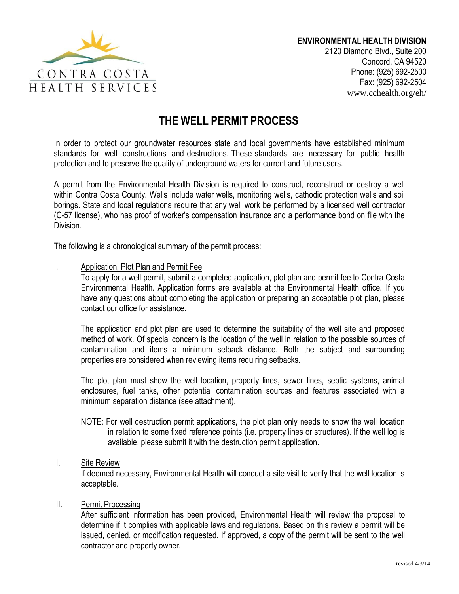

2120 Diamond Blvd., Suite 200 Concord, CA 94520 Phone: (925) 692-2500 Fax: (925) 692-2504 www.cchealth.org/eh/

# **THE WELL PERMIT PROCESS**

In order to protect our groundwater resources state and local governments have established minimum standards for well constructions and destructions. These standards are necessary for public health protection and to preserve the quality of underground waters for current and future users.

A permit from the Environmental Health Division is required to construct, reconstruct or destroy a well within Contra Costa County. Wells include water wells, monitoring wells, cathodic protection wells and soil borings. State and local regulations require that any well work be performed by a licensed well contractor (C-57 license), who has proof of worker's compensation insurance and a performance bond on file with the Division.

The following is a chronological summary of the permit process:

I. Application, Plot Plan and Permit Fee

To apply for a well permit, submit a completed application, plot plan and permit fee to Contra Costa Environmental Health. Application forms are available at the Environmental Health office. If you have any questions about completing the application or preparing an acceptable plot plan, please contact our office for assistance.

The application and plot plan are used to determine the suitability of the well site and proposed method of work. Of special concern is the location of the well in relation to the possible sources of contamination and items a minimum setback distance. Both the subject and surrounding properties are considered when reviewing items requiring setbacks.

The plot plan must show the well location, property lines, sewer lines, septic systems, animal enclosures, fuel tanks, other potential contamination sources and features associated with a minimum separation distance (see attachment).

NOTE: For well destruction permit applications, the plot plan only needs to show the well location in relation to some fixed reference points (i.e. property lines or structures). If the well log is available, please submit it with the destruction permit application.

### II. Site Review

If deemed necessary, Environmental Health will conduct a site visit to verify that the well location is acceptable.

#### III. Permit Processing

After sufficient information has been provided, Environmental Health will review the proposal to determine if it complies with applicable laws and regulations. Based on this review a permit will be issued, denied, or modification requested. If approved, a copy of the permit will be sent to the well contractor and property owner.